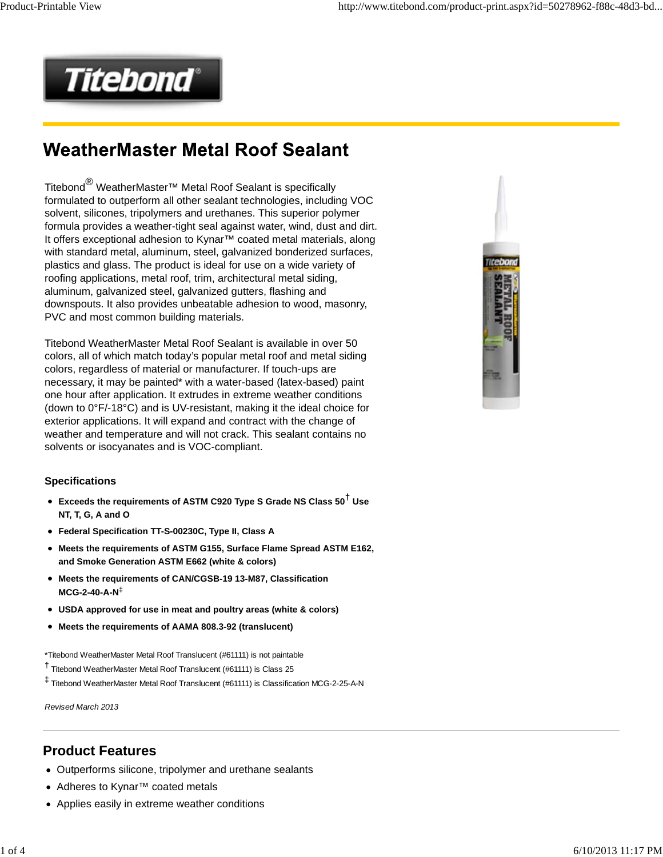

# **WeatherMaster Metal Roof Sealant**

Titebond® WeatherMaster™ Metal Roof Sealant is specifically formulated to outperform all other sealant technologies, including VOC solvent, silicones, tripolymers and urethanes. This superior polymer formula provides a weather-tight seal against water, wind, dust and dirt. It offers exceptional adhesion to Kynar™ coated metal materials, along with standard metal, aluminum, steel, galvanized bonderized surfaces, plastics and glass. The product is ideal for use on a wide variety of roofing applications, metal roof, trim, architectural metal siding, aluminum, galvanized steel, galvanized gutters, flashing and downspouts. It also provides unbeatable adhesion to wood, masonry, PVC and most common building materials.

Titebond WeatherMaster Metal Roof Sealant is available in over 50 colors, all of which match today's popular metal roof and metal siding colors, regardless of material or manufacturer. If touch-ups are necessary, it may be painted\* with a water-based (latex-based) paint one hour after application. It extrudes in extreme weather conditions (down to 0°F/-18°C) and is UV-resistant, making it the ideal choice for exterior applications. It will expand and contract with the change of weather and temperature and will not crack. This sealant contains no solvents or isocyanates and is VOC-compliant.

#### **Specifications**

- **Exceeds the requirements of ASTM C920 Type S Grade NS Class 50† Use NT, T, G, A and O**
- **Federal Specification TT-S-00230C, Type II, Class A**
- **Meets the requirements of ASTM G155, Surface Flame Spread ASTM E162, and Smoke Generation ASTM E662 (white & colors)**
- **Meets the requirements of CAN/CGSB-19 13-M87, Classification MCG-2-40-A-N‡**
- **USDA approved for use in meat and poultry areas (white & colors)**
- **Meets the requirements of AAMA 808.3-92 (translucent)**

\*Titebond WeatherMaster Metal Roof Translucent (#61111) is not paintable

- † Titebond WeatherMaster Metal Roof Translucent (#61111) is Class 25
- ‡ Titebond WeatherMaster Metal Roof Translucent (#61111) is Classification MCG-2-25-A-N

*Revised March 2013*

### **Product Features**

- Outperforms silicone, tripolymer and urethane sealants
- Adheres to Kynar™ coated metals
- Applies easily in extreme weather conditions

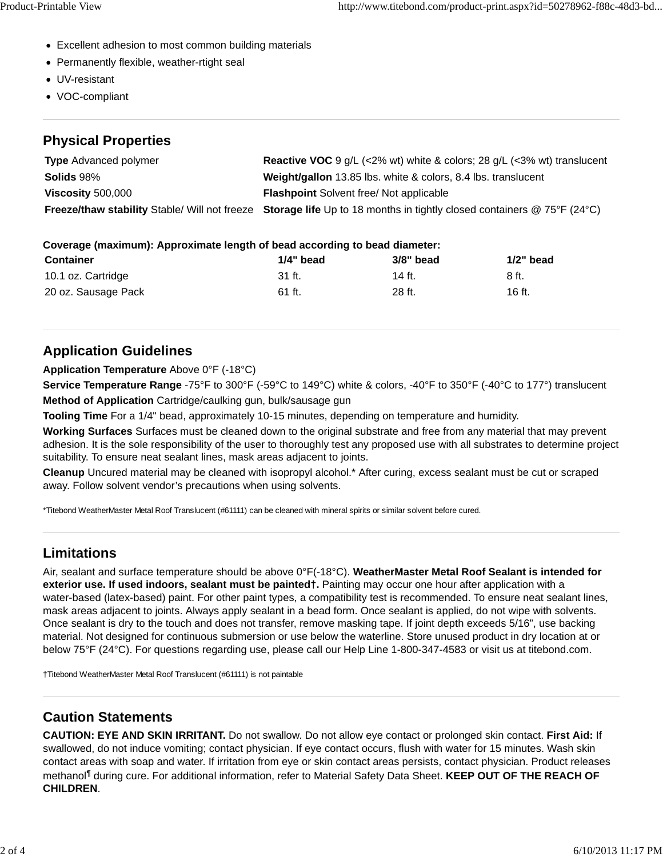- Excellent adhesion to most common building materials
- Permanently flexible, weather-rtight seal
- UV-resistant
- VOC-compliant

#### **Physical Properties**

| <b>Type</b> Advanced polymer | <b>Reactive VOC</b> 9 g/L (<2% wt) white & colors; 28 g/L (<3% wt) translucent                                        |
|------------------------------|-----------------------------------------------------------------------------------------------------------------------|
| <b>Solids 98%</b>            | Weight/gallon 13.85 lbs. white & colors, 8.4 lbs. translucent                                                         |
| Viscosity 500,000            | <b>Flashpoint Solvent free/ Not applicable</b>                                                                        |
|                              | Freeze/thaw stability Stable/ Will not freeze Storage life Up to 18 months in tightly closed containers @ 75°F (24°C) |

#### **Coverage (maximum): Approximate length of bead according to bead diameter:**

| <b>Container</b>    | $1/4"$ bead | 3/8" bead | $1/2$ " bead |
|---------------------|-------------|-----------|--------------|
| 10.1 oz. Cartridge  | 31 ft.      | 14 ft.    | 8 ft.        |
| 20 oz. Sausage Pack | 61 ft.      | 28 ft.    | 16 ft.       |

## **Application Guidelines**

**Application Temperature** Above 0°F (-18°C)

**Service Temperature Range** -75°F to 300°F (-59°C to 149°C) white & colors, -40°F to 350°F (-40°C to 177°) translucent **Method of Application** Cartridge/caulking gun, bulk/sausage gun

**Tooling Time** For a 1/4" bead, approximately 10-15 minutes, depending on temperature and humidity.

**Working Surfaces** Surfaces must be cleaned down to the original substrate and free from any material that may prevent adhesion. It is the sole responsibility of the user to thoroughly test any proposed use with all substrates to determine project suitability. To ensure neat sealant lines, mask areas adjacent to joints.

**Cleanup** Uncured material may be cleaned with isopropyl alcohol.\* After curing, excess sealant must be cut or scraped away. Follow solvent vendor's precautions when using solvents.

\*Titebond WeatherMaster Metal Roof Translucent (#61111) can be cleaned with mineral spirits or similar solvent before cured.

## **Limitations**

Air, sealant and surface temperature should be above 0°F(-18°C). **WeatherMaster Metal Roof Sealant is intended for exterior use. If used indoors, sealant must be painted†.** Painting may occur one hour after application with a water-based (latex-based) paint. For other paint types, a compatibility test is recommended. To ensure neat sealant lines, mask areas adjacent to joints. Always apply sealant in a bead form. Once sealant is applied, do not wipe with solvents. Once sealant is dry to the touch and does not transfer, remove masking tape. If joint depth exceeds 5/16", use backing material. Not designed for continuous submersion or use below the waterline. Store unused product in dry location at or below 75°F (24°C). For questions regarding use, please call our Help Line 1-800-347-4583 or visit us at titebond.com.

†Titebond WeatherMaster Metal Roof Translucent (#61111) is not paintable

### **Caution Statements**

**CAUTION: EYE AND SKIN IRRITANT.** Do not swallow. Do not allow eye contact or prolonged skin contact. **First Aid:** If swallowed, do not induce vomiting; contact physician. If eye contact occurs, flush with water for 15 minutes. Wash skin contact areas with soap and water. If irritation from eye or skin contact areas persists, contact physician. Product releases methanol¶ during cure. For additional information, refer to Material Safety Data Sheet. **KEEP OUT OF THE REACH OF CHILDREN**.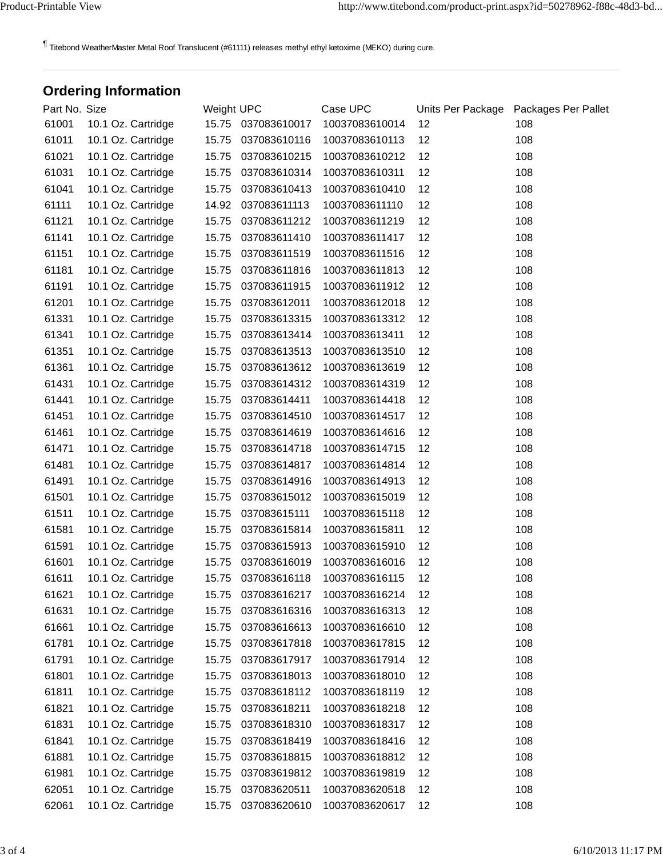¶ Titebond WeatherMaster Metal Roof Translucent (#61111) releases methyl ethyl ketoxime (MEKO) during cure.

# **Ordering Information**

| Part No. Size |                    | Weight UPC |                    | Case UPC       | Units Per Package | Packages Per Pallet |
|---------------|--------------------|------------|--------------------|----------------|-------------------|---------------------|
| 61001         | 10.1 Oz. Cartridge |            | 15.75 037083610017 | 10037083610014 | 12                | 108                 |
| 61011         | 10.1 Oz. Cartridge | 15.75      | 037083610116       | 10037083610113 | 12                | 108                 |
| 61021         | 10.1 Oz. Cartridge | 15.75      | 037083610215       | 10037083610212 | 12                | 108                 |
| 61031         | 10.1 Oz. Cartridge | 15.75      | 037083610314       | 10037083610311 | 12                | 108                 |
| 61041         | 10.1 Oz. Cartridge | 15.75      | 037083610413       | 10037083610410 | 12                | 108                 |
| 61111         | 10.1 Oz. Cartridge | 14.92      | 037083611113       | 10037083611110 | 12                | 108                 |
| 61121         | 10.1 Oz. Cartridge | 15.75      | 037083611212       | 10037083611219 | 12                | 108                 |
| 61141         | 10.1 Oz. Cartridge | 15.75      | 037083611410       | 10037083611417 | 12                | 108                 |
| 61151         | 10.1 Oz. Cartridge | 15.75      | 037083611519       | 10037083611516 | 12                | 108                 |
| 61181         | 10.1 Oz. Cartridge | 15.75      | 037083611816       | 10037083611813 | 12                | 108                 |
| 61191         | 10.1 Oz. Cartridge | 15.75      | 037083611915       | 10037083611912 | 12                | 108                 |
| 61201         | 10.1 Oz. Cartridge | 15.75      | 037083612011       | 10037083612018 | 12                | 108                 |
| 61331         | 10.1 Oz. Cartridge | 15.75      | 037083613315       | 10037083613312 | 12                | 108                 |
| 61341         | 10.1 Oz. Cartridge | 15.75      | 037083613414       | 10037083613411 | 12                | 108                 |
| 61351         | 10.1 Oz. Cartridge | 15.75      | 037083613513       | 10037083613510 | 12                | 108                 |
| 61361         | 10.1 Oz. Cartridge | 15.75      | 037083613612       | 10037083613619 | 12                | 108                 |
| 61431         | 10.1 Oz. Cartridge | 15.75      | 037083614312       | 10037083614319 | 12                | 108                 |
| 61441         | 10.1 Oz. Cartridge | 15.75      | 037083614411       | 10037083614418 | 12                | 108                 |
| 61451         | 10.1 Oz. Cartridge | 15.75      | 037083614510       | 10037083614517 | 12                | 108                 |
| 61461         | 10.1 Oz. Cartridge | 15.75      | 037083614619       | 10037083614616 | 12                | 108                 |
| 61471         | 10.1 Oz. Cartridge | 15.75      | 037083614718       | 10037083614715 | 12                | 108                 |
| 61481         | 10.1 Oz. Cartridge | 15.75      | 037083614817       | 10037083614814 | 12                | 108                 |
| 61491         | 10.1 Oz. Cartridge | 15.75      | 037083614916       | 10037083614913 | 12                | 108                 |
| 61501         | 10.1 Oz. Cartridge | 15.75      | 037083615012       | 10037083615019 | 12                | 108                 |
| 61511         | 10.1 Oz. Cartridge | 15.75      | 037083615111       | 10037083615118 | 12                | 108                 |
| 61581         | 10.1 Oz. Cartridge | 15.75      | 037083615814       | 10037083615811 | 12                | 108                 |
| 61591         | 10.1 Oz. Cartridge | 15.75      | 037083615913       | 10037083615910 | 12                | 108                 |
| 61601         | 10.1 Oz. Cartridge | 15.75      | 037083616019       | 10037083616016 | 12                | 108                 |
| 61611         | 10.1 Oz. Cartridge | 15.75      | 037083616118       | 10037083616115 | 12                | 108                 |
| 61621         | 10.1 Oz. Cartridge | 15.75      | 037083616217       | 10037083616214 | 12                | 108                 |
| 61631         | 10.1 Oz. Cartridge | 15.75      | 037083616316       | 10037083616313 | 12                | 108                 |
| 61661         | 10.1 Oz. Cartridge | 15.75      | 037083616613       | 10037083616610 | 12                | 108                 |
| 61781         | 10.1 Oz. Cartridge | 15.75      | 037083617818       | 10037083617815 | 12                | 108                 |
| 61791         | 10.1 Oz. Cartridge | 15.75      | 037083617917       | 10037083617914 | 12                | 108                 |
| 61801         | 10.1 Oz. Cartridge | 15.75      | 037083618013       | 10037083618010 | 12                | 108                 |
| 61811         | 10.1 Oz. Cartridge | 15.75      | 037083618112       | 10037083618119 | 12                | 108                 |
| 61821         | 10.1 Oz. Cartridge | 15.75      | 037083618211       | 10037083618218 | 12                | 108                 |
| 61831         | 10.1 Oz. Cartridge | 15.75      | 037083618310       | 10037083618317 | 12                | 108                 |
| 61841         | 10.1 Oz. Cartridge | 15.75      | 037083618419       | 10037083618416 | 12                | 108                 |
| 61881         | 10.1 Oz. Cartridge | 15.75      | 037083618815       | 10037083618812 | 12                | 108                 |
| 61981         | 10.1 Oz. Cartridge | 15.75      | 037083619812       | 10037083619819 | 12                | 108                 |
| 62051         | 10.1 Oz. Cartridge | 15.75      | 037083620511       | 10037083620518 | 12                | 108                 |
| 62061         | 10.1 Oz. Cartridge | 15.75      | 037083620610       | 10037083620617 | 12                | 108                 |